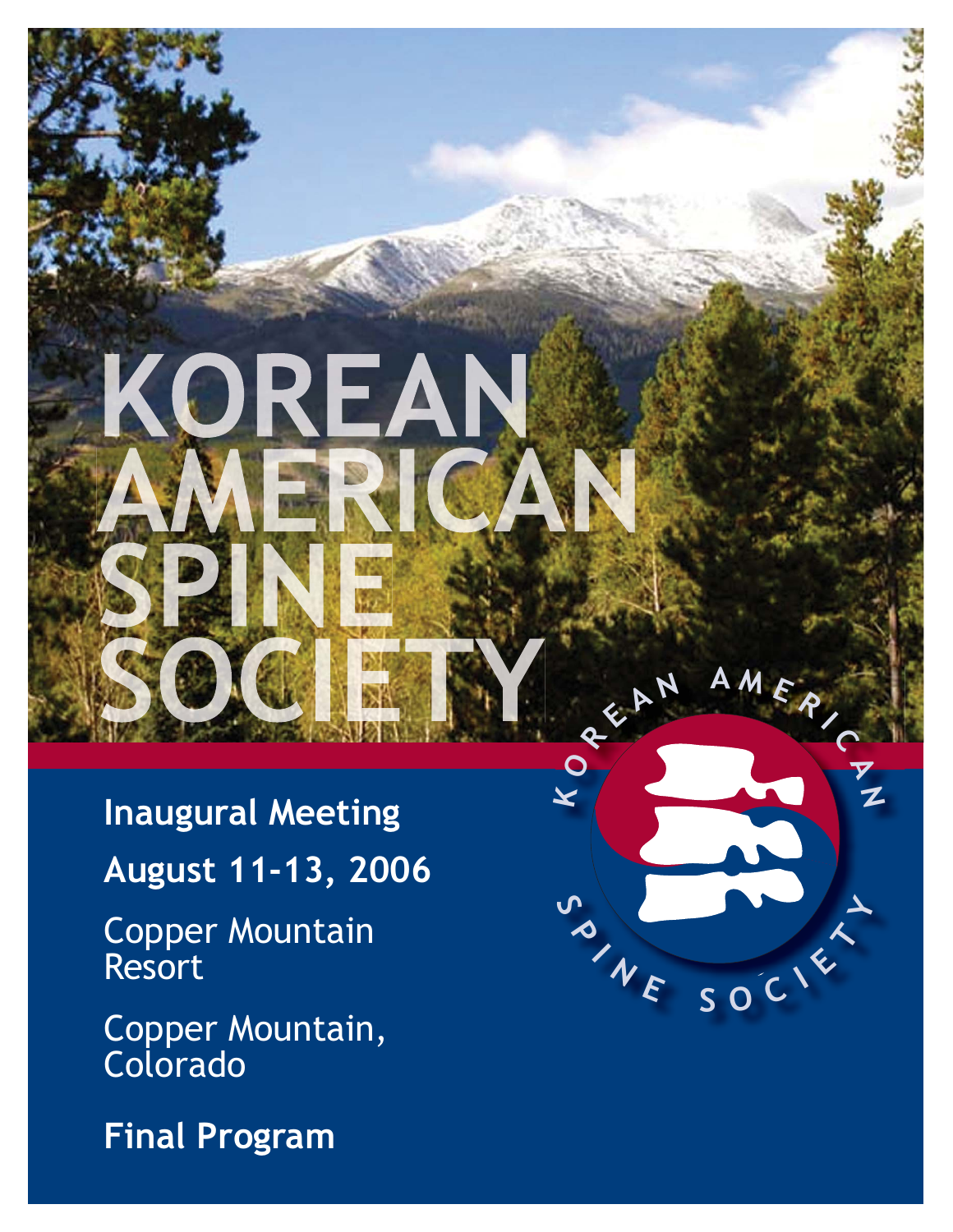**Inaugural Meeting August 11-13, 2006**

IREA

**KO**

**R**

**<sup>E</sup> <sup>A</sup> <sup>N</sup> <sup>A</sup> <sup>M</sup> <sup>E</sup> <sup>R</sup> <sup>I</sup> <sup>C</sup> <sup>A</sup>**

 $W$  **E**  $SOC$   $K$ 

**N**

Copper Mountain Resort

Copper Mountain, Colorado

**Final Program**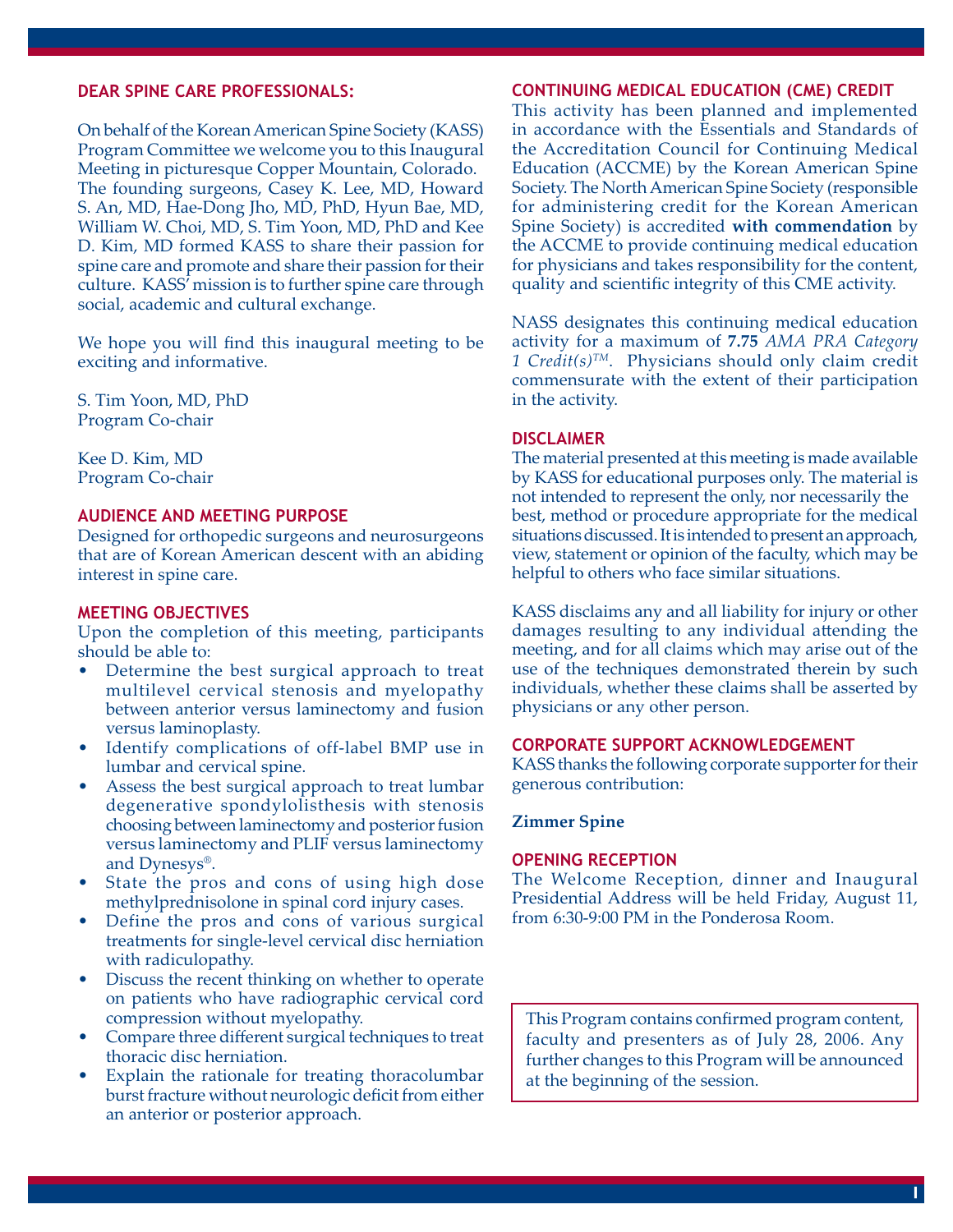### **DEAR SPINE CARE PROFESSIONALS:**

On behalf of the Korean American Spine Society (KASS) Program Committee we welcome you to this Inaugural Meeting in picturesque Copper Mountain, Colorado. The founding surgeons, Casey K. Lee, MD, Howard S. An, MD, Hae-Dong Jho, MD, PhD, Hyun Bae, MD, William W. Choi, MD, S. Tim Yoon, MD, PhD and Kee D. Kim, MD formed KASS to share their passion for spine care and promote and share their passion for their culture. KASS' mission is to further spine care through social, academic and cultural exchange.

We hope you will find this inaugural meeting to be exciting and informative.

S. Tim Yoon, MD, PhD Program Co-chair

Kee D. Kim, MD Program Co-chair

### **AUDIENCE AND MEETING PURPOSE**

Designed for orthopedic surgeons and neurosurgeons that are of Korean American descent with an abiding interest in spine care.

### **MEETING OBJECTIVES**

Upon the completion of this meeting, participants should be able to:

- Determine the best surgical approach to treat multilevel cervical stenosis and myelopathy between anterior versus laminectomy and fusion versus laminoplasty. •
- Identify complications of off-label BMP use in lumbar and cervical spine.
- Assess the best surgical approach to treat lumbar degenerative spondylolisthesis with stenosis choosing between laminectomy and posterior fusion versus laminectomy and PLIF versus laminectomy and Dynesys®. •
- State the pros and cons of using high dose methylprednisolone in spinal cord injury cases. •
- Define the pros and cons of various surgical treatments for single-level cervical disc herniation with radiculopathy.
- Discuss the recent thinking on whether to operate on patients who have radiographic cervical cord compression without myelopathy. •
- Compare three different surgical techniques to treat thoracic disc herniation. •
- Explain the rationale for treating thoracolumbar burst fracture without neurologic deficit from either an anterior or posterior approach. •

### **CONTINUING MEDICAL EDUCATION (CME) CREDIT**

This activity has been planned and implemented in accordance with the Essentials and Standards of the Accreditation Council for Continuing Medical Education (ACCME) by the Korean American Spine Society. The North American Spine Society (responsible for administering credit for the Korean American Spine Society) is accredited **with commendation** by the ACCME to provide continuing medical education for physicians and takes responsibility for the content, quality and scientific integrity of this CME activity.

NASS designates this continuing medical education activity for a maximum of **7.75** *AMA PRA Category 1 Credit(s)TM*. Physicians should only claim credit commensurate with the extent of their participation in the activity.

#### **DISCLAIMER**

The material presented at this meeting is made available by KASS for educational purposes only. The material is not intended to represent the only, nor necessarily the best, method or procedure appropriate for the medical situations discussed. It is intended to present an approach, view, statement or opinion of the faculty, which may be helpful to others who face similar situations.

KASS disclaims any and all liability for injury or other damages resulting to any individual attending the meeting, and for all claims which may arise out of the use of the techniques demonstrated therein by such individuals, whether these claims shall be asserted by physicians or any other person.

### **CORPORATE SUPPORT ACKNOWLEDGEMENT**

KASS thanks the following corporate supporter for their generous contribution:

## **Zimmer Spine**

#### **OPENING RECEPTION**

The Welcome Reception, dinner and Inaugural Presidential Address will be held Friday, August 11, from 6:30-9:00 PM in the Ponderosa Room.

This Program contains confirmed program content, faculty and presenters as of July 28, 2006. Any further changes to this Program will be announced at the beginning of the session.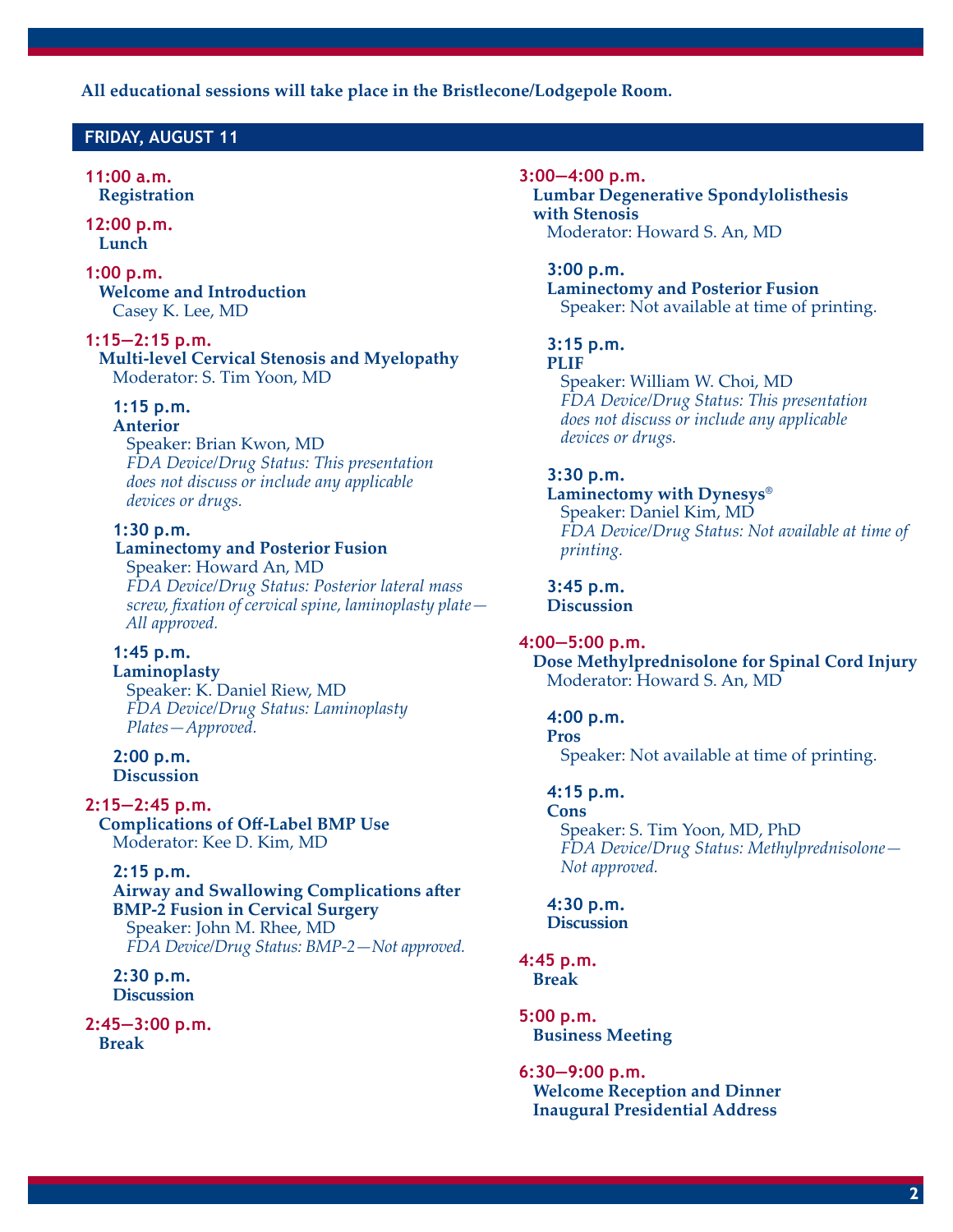**All educational sessions will take place in the Bristlecone/Lodgepole Room.**

## **FRIDAY, AUGUST 11**

### **11:00 a.m. Registration**

**12:00 p.m. Lunch**

### **1:00 p.m. Welcome and Introduction** Casey K. Lee, MD

**1:15—2:15 p.m. Multi-level Cervical Stenosis and Myelopathy** Moderator: S. Tim Yoon, MD

### **1:15 p.m.**

#### **Anterior**

 Speaker: Brian Kwon, MD  *FDA Device/Drug Status: This presentation does not discuss or include any applicable devices or drugs.*

## **1:30 p.m.**

# **Laminectomy and Posterior Fusion**

Speaker: Howard An, MD  *FDA Device/Drug Status: Posterior lateral mass screw, fi xation of cervical spine, laminoplasty plate — All approved.*

### **1:45 p.m.**

 **Laminoplasty** Speaker: K. Daniel Riew, MD  *FDA Device/Drug Status: Laminoplasty Plates—Approved.*

#### **2:00 p.m. Discussion**

**2:15—2:45 p.m. Complications of Off -Label BMP Use**

Moderator: Kee D. Kim, MD

## **2:15 p.m.**

**Airway and Swallowing Complications after BMP-2 Fusion in Cervical Surgery** Speaker: John M. Rhee, MD  *FDA Device/Drug Status: BMP-2—Not approved.*

 **2:30 p.m. Discussion**

## **2:45—3:00 p.m. Break**

#### **3:00—4:00 p.m.**

 **Lumbar Degenerative Spondylolisthesis with Stenosis** Moderator: Howard S. An, MD

#### **3:00 p.m.**

 **Laminectomy and Posterior Fusion** Speaker: Not available at time of printing.

#### **3:15 p.m.**

### **PLIF**

 Speaker: William W. Choi, MD  *FDA Device/Drug Status: This presentation does not discuss or include any applicable devices or drugs.*

## **3:30 p.m.**

## **Laminectomy with Dynesys®** Speaker: Daniel Kim, MD  *FDA Device/Drug Status: Not available at time of printing.*

 **3:45 p.m. Discussion**

## **4:00—5:00 p.m.**

 **Dose Methylprednisolone for Spinal Cord Injury** Moderator: Howard S. An, MD

## **4:00 p.m.**

 **Pros** Speaker: Not available at time of printing.

## **4:15 p.m.**

 **Cons** Speaker: S. Tim Yoon, MD, PhD  *FDA Device/Drug Status: Methylprednisolone— Not approved.*

 **4:30 p.m. Discussion**

#### **4:45 p.m. Break**

**5:00 p.m. Business Meeting**

### **6:30—9:00 p.m.**

 **Welcome Reception and Dinner Inaugural Presidential Address**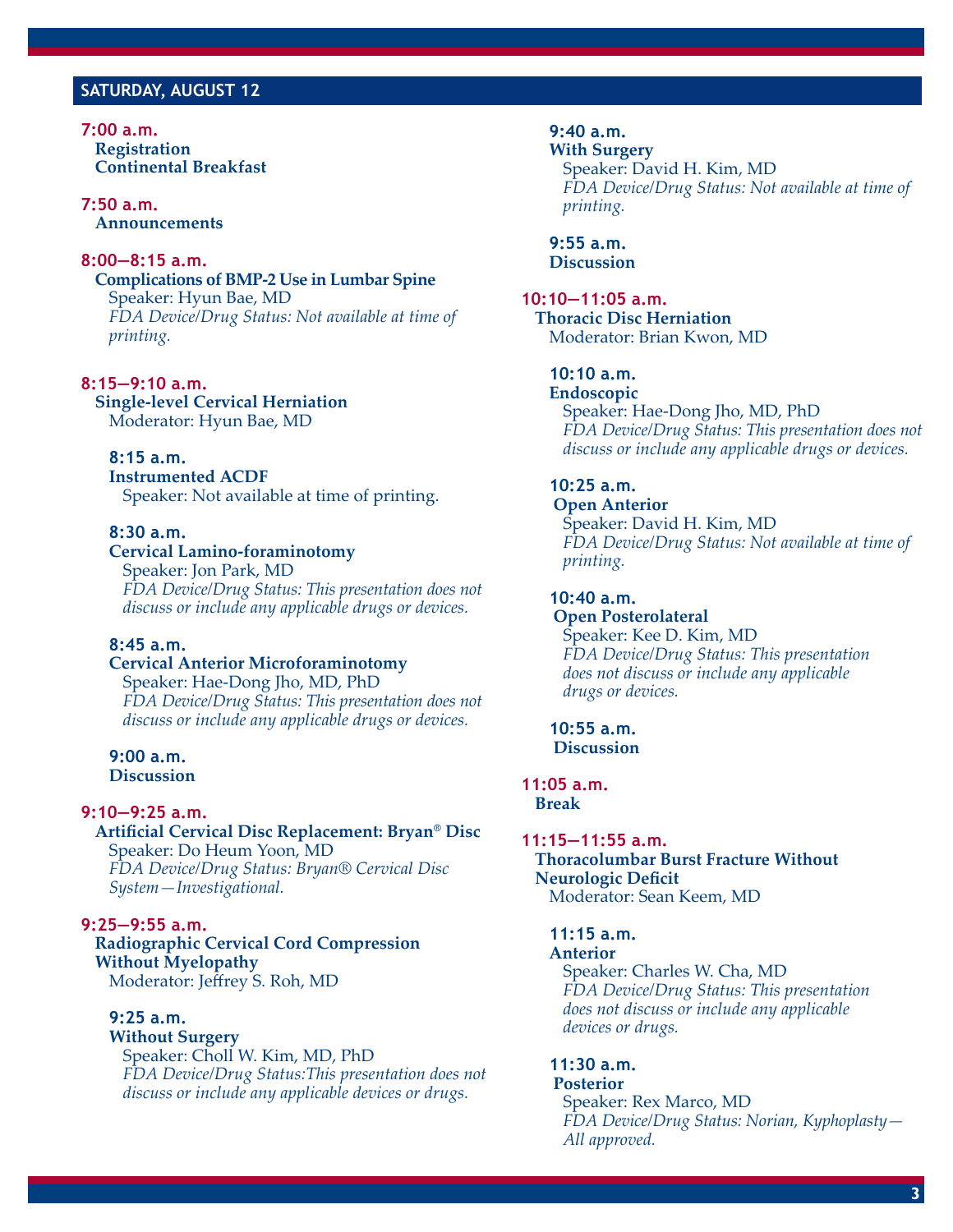## **SATURDAY, AUGUST 12**

**7:00 a.m. Registration Continental Breakfast** 

**7:50 a.m. Announcements**

### **8:00—8:15 a.m.**

**Complications of BMP-2 Use in Lumbar Spine** Speaker: Hyun Bae, MD  *FDA Device/Drug Status: Not available at time of printing.*

**8:15—9:10 a.m. Single-level Cervical Herniation** Moderator: Hyun Bae, MD

 **8:15 a.m. Instrumented ACDF** Speaker: Not available at time of printing.

### **8:30 a.m.**

## **Cervical Lamino-foraminotomy**

 Speaker: Jon Park, MD  *FDA Device/Drug Status: This presentation does not discuss or include any applicable drugs or devices.*

### **8:45 a.m.**

 **Cervical Anterior Microforaminotomy** Speaker: Hae-Dong Jho, MD, PhD  *FDA Device/Drug Status: This presentation does not discuss or include any applicable drugs or devices.*

 **9:00 a.m. Discussion**

#### **9:10—9:25 a.m.**

 **Artificial Cervical Disc Replacement: Bryan® Disc** Speaker: Do Heum Yoon, MD *FDA Device/Drug Status: Bryan® Cervical Disc System—Investigational.*

**9:25—9:55 a.m.**

 **Radiographic Cervical Cord Compression Without Myelopathy Moderator: Jeffrey S. Roh, MD** 

## **9:25 a.m.**

 **Without Surgery** Speaker: Choll W. Kim, MD, PhD  *FDA Device/Drug Status:This presentation does not discuss or include any applicable devices or drugs.*

 **9:40 a.m. With Surgery** Speaker: David H. Kim, MD  *FDA Device/Drug Status: Not available at time of printing.*

 **9:55 a.m. Discussion**

**10:10—11:05 a.m. Thoracic Disc Herniation** Moderator: Brian Kwon, MD

## **10:10 a.m.**

 **Endoscopic** Speaker: Hae-Dong Jho, MD, PhD  *FDA Device/Drug Status: This presentation does not discuss or include any applicable drugs or devices.*

 **10:25 a.m.**

 **Open Anterior** Speaker: David H. Kim, MD *FDA Device/Drug Status: Not available at time of printing.*

### **10:40 a.m.**

 **Open Posterolateral** Speaker: Kee D. Kim, MD  *FDA Device/Drug Status: This presentation does not discuss or include any applicable drugs or devices.*

 **10:55 a.m. Discussion**

**11:05 a.m. Break**

## **11:15—11:55 a.m.**

 **Thoracolumbar Burst Fracture Without Neurologic Deficit** Moderator: Sean Keem, MD

#### **11:15 a.m.**

#### **Anterior**

 Speaker: Charles W. Cha, MD  *FDA Device/Drug Status: This presentation does not discuss or include any applicable devices or drugs.*

### **11:30 a.m.**

#### **Posterior**

 Speaker: Rex Marco, MD  *FDA Device/Drug Status: Norian, Kyphoplasty— All approved.*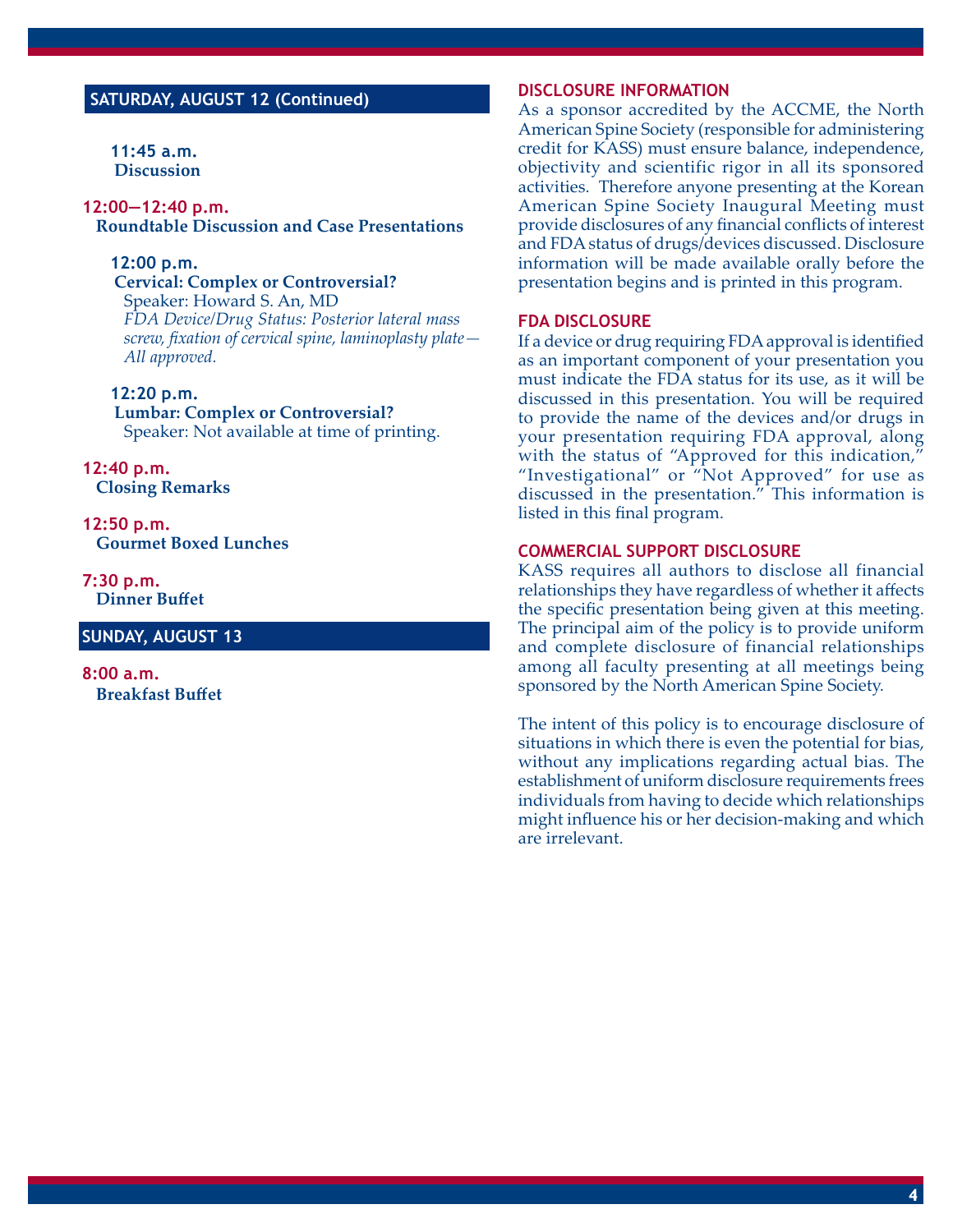# **SATURDAY, AUGUST 12 (Continued)**

 **11:45 a.m. Discussion**

#### **12:00—12:40 p.m. Roundtable Discussion and Case Presentations**

### **12:00 p.m.**

 **Cervical: Complex or Controversial?** Speaker: Howard S. An, MD  *FDA Device/Drug Status: Posterior lateral mass screw, fi xation of cervical spine, laminoplasty plate — All approved.*

### **12:20 p.m.**

 **Lumbar: Complex or Controversial?** Speaker: Not available at time of printing.

**12:40 p.m. Closing Remarks**

**12:50 p.m. Gourmet Boxed Lunches**

**7:30 p.m. Dinner Buffet** 

### **SUNDAY, AUGUST 13**

**8:00 a.m. Breakfast Buffet** 

### **DISCLOSURE INFORMATION**

As a sponsor accredited by the ACCME, the North American Spine Society (responsible for administering credit for KASS) must ensure balance, independence, objectivity and scientific rigor in all its sponsored activities. Therefore anyone presenting at the Korean American Spine Society Inaugural Meeting must provide disclosures of any financial conflicts of interest and FDA status of drugs/devices discussed. Disclosure information will be made available orally before the presentation begins and is printed in this program.

### **FDA DISCLOSURE**

If a device or drug requiring FDA approval is identified as an important component of your presentation you must indicate the FDA status for its use, as it will be discussed in this presentation. You will be required to provide the name of the devices and/or drugs in your presentation requiring FDA approval, along with the status of "Approved for this indication," "Investigational" or "Not Approved" for use as discussed in the presentation." This information is listed in this final program.

#### **COMMERCIAL SUPPORT DISCLOSURE**

KASS requires all authors to disclose all financial relationships they have regardless of whether it affects the specific presentation being given at this meeting. The principal aim of the policy is to provide uniform and complete disclosure of financial relationships among all faculty presenting at all meetings being sponsored by the North American Spine Society.

The intent of this policy is to encourage disclosure of situations in which there is even the potential for bias, without any implications regarding actual bias. The establishment of uniform disclosure requirements frees individuals from having to decide which relationships might influence his or her decision-making and which are irrelevant.